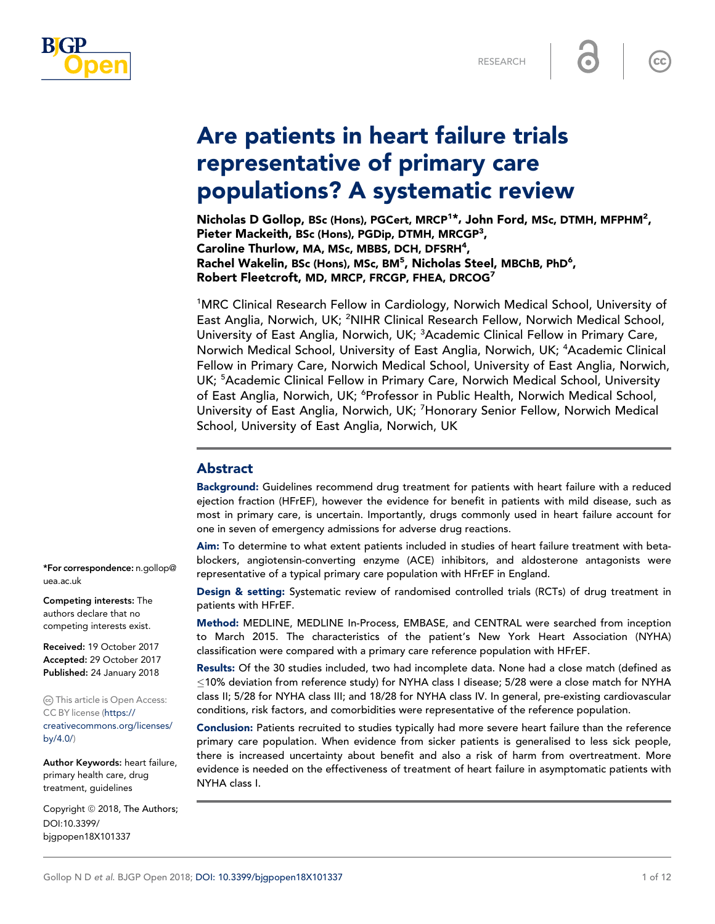

 $\overline{\text{cc}}$ 

#### GP-confirmed complete Achilles tendon Are patients in neart railure trials representative of primary care<br>representative of primary care populations, A Systematic case report Art pauvilles in noart fand nopulations? A systematic review populations insystemation of Clinical Medicine, U Are nationte in heart failure triale Are patients in heart failure trials nopulatio populations? A systematic review

Pieter Mackeith, BSc (Hons), PGDip, DTMH, MRCGP<sup>3</sup>, Caroline Thurlow, MA, MSc, MBBS, DCH, DFSRH<sup>4</sup>, Rachel Wakelin, BSc (Hons), MSc, BM<sup>5</sup>, Nicholas Steel, MBChB, PhD<sup>6</sup>,  ${\sf Robert\,\,Fleetcroft, \,MD, \,MRCP, \,FRCGP, \,FHEA, \,DRCOG<sup>7</sup>}$ Nicholas D Gollop, BSc (Hons), PGCert, MRCP<sup>1\*</sup>, John Ford, MSc, DTMH, MFPHM<sup>2</sup>,

rupture using pocket-sized ultrasound: a

<sup>1</sup>MRC Clinical Research Fellow in Cardiology, Norwich Medical School, University of Norwich Medical School, University of East Anglia, Norwich, UK; <sup>4</sup>Academic Clinical To wich medical School, oniversity of East Anglia, Norwich, ON, Academic Clinical<br>Fellow in Primary Care, Norwich Medical School, University of East Anglia, Norwich idiation in Finnary darby from the modical denotity of the extent ingital from the extent of clinical mission i<br>LIK: <sup>5</sup>Academic Clinical Fellow in Primary Care, Norwich Medical School, University of, Academic Gimear Fellow in Filmary Care, Norwich Medical School, Oliversity<br>of East Anglia, Norwich, UK; <sup>6</sup>Professor in Public Health, Norwich Medical School, GP, with no clinical units of the clinical ultrasound experience, recorded images with a possible distribution University of East Anglia, Norwich, UK; <sup>7</sup>Honorary Senior Fellow, Norwich Medical School, University of East Anglia, Norwich, UK East Anglia, Norwich, UK; <sup>2</sup>NIHR Clinical Research Fellow, Norwich Medical School, University of East Anglia, Norwich, UK; <sup>3</sup>Academic Clinical Fellow in Primary Care, Fellow in Primary Care, Norwich Medical School, University of East Anglia, Norwich,<br>. UK; <sup>5</sup>Academic Clinical Fellow in Primary Care, Norwich Medical School, University

#### Case report arrange secondary care for the young Afghan in danger of losing his finger? We try to persuade him Abstract plantar flexion against resistance was weak and Simmonds–Thompson test was 'partially positive' on the simmonds–

Background: Guidelines recommend drug treatment for patients with heart failure with a reduced ejection fraction (HFrEF), however the evidence for benefit in patients with mild disease, such as ,<br>most in primary care, is uncertain. Importantly, drugs commonly used in heart failure account for one in seven of emergency admissions for adverse drug reactions.

while sprinting. He immediately had difficulty walking and 3 hours later consulted and 3 hours later consulted an

S<br>Aim: To determine to what extent patients included in studies of heart failure treatment with hetaright to decerning to that extent patients included in stagies of heart landic treatment with seta.<br>blockers angletansin-converting enzyme (ACE) inhibitors and aldosterone antagonists were bookers, angletensin converting only inc., which with direction and allected from an augustics were representative of a typical primary care population with HFrEF in England. Aim: To determine to what extent patients included in studies of heart failure treatment with beta-<br>. blockers, angiotensin-converting enzyme (ACE) inhibitors, and aldosterone antagonists were<br>

considered complete tendon rupture and reexamined the patient. Findings included an absent right **Design & setting:** Systematic review of randomised controlled trials (RCTs) of drug treatment in<br>Noting EF parients with  $n_1$  bruising, and an altered angle of declination. Palpation elicited no angle of declination elicited no angle of declination elicited no angle of declination elicited no angle of declination elicited no patients with HFrEF. The set at a depth of that eye. We see half that eye. We see half that eye. We see half that eye. We see half that eye. We see half that eye. We see half that eye. We see half that eye. We see half tha

Method: MEDLINE, MEDLINE In-Process, EMBASE, and CENTRAL were searched from inception **Method:** MEDLINE, MEDLINE In-Process, EMBASE, and CENTRAL were searched from inception<br>to March 2015. The characteristics of the patient's New York Heart Association (NYHA) classification were compared with a primary care reference population with HFrEF.

**Results:** Of the 30 studies included, two had incomplete data. None had a close match (defined as  $\leq$ 10% deviation from reference study) for NYHA class I disease; 5/28 were a close match for NYHA –<br>class II; 5/28 for NYHA class III; and 18/28 for NYHA class IV. In general, pre-existing cardiovascular  $\overline{\text{conditions}}$ , risk factors, and comorbidities were representative of the reference population.

**Conclusion:** Patients recruited to studies typically had more severe heart failure than the reference  $\frac{1}{2}$  primery care population. When evidence from sicker patients is generalised to less sick people. primary care population: when evidence from sicker patients is generalised to less sick people,<br>there is increased uncertainty about benefit and also a risk of harm from overtreatment. More NYHA class I.<br>. there is increased uncertainty about benefit and also a risk of harm from overtreatment. More<br>... **Conclusion:** Patients recruited to studies typically had more severe heart failure than the reference primary care population. When evidence from sicker patients is generalised to less sick people,<br>... evidence is needed on the effectiveness of treatment of heart failure in asymptomatic patients with<br>、

Tromsø Hospital serves a large area with a population of approximately  $\mathcal{L}^{\mathcal{A}}$ 

 $\overline{\mathcal{L}}$  . By open 2017; Doi: 10.3399.939, big popularity  $\overline{\mathcal{L}}$ 

\*For correspondence: n.gollop@ uea.ac.uk

competing interests exist. gmail.com Competing interests: The Competing interests: The authors declare that no authors declare that no

Competing interests: The Accepted: 16 August 2016 Accepted: 29 October 2017 authors de la carrera.<br>Declare that no transversion  $\ldots$ Received: 19 October 2017 Published: 24 January 2018

ଙ This article is Open Access: CC BY license (**https://** 

[creativecommons.org/licenses/](http://creativecommons.org/licences/by/4.0/) Author Keywords: ultrasound, by/4.0/ $\sqrt{ }$ s BJGP Open 2017;

Author Keywords: heart failure, primary health care, drug treatment, guidelines

Copyright © 2018, The Authors; DOI:10.3399/  $\mathcal{L}_{\text{Cov}}$  is stated  $\otimes$  2018. The Authority of  $\mathcal{L}_{\text{Cov}}$  $\Gamma$  and  $\Omega$  and  $\Omega$ bjgpopen18X101337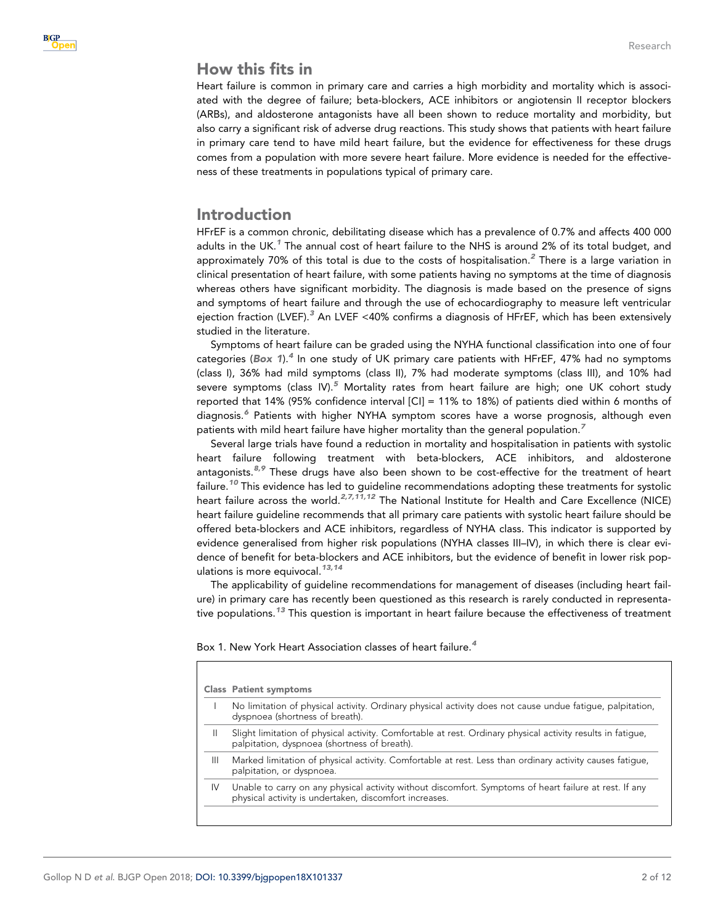# How this fits in

Heart failure is common in primary care and carries a high morbidity and mortality which is associated with the degree of failure; beta-blockers, ACE inhibitors or angiotensin II receptor blockers (ARBs), and aldosterone antagonists have all been shown to reduce mortality and morbidity, but also carry a significant risk of adverse drug reactions. This study shows that patients with heart failure in primary care tend to have mild heart failure, but the evidence for effectiveness for these drugs comes from a population with more severe heart failure. More evidence is needed for the effectiveness of these treatments in populations typical of primary care.

# Introduction

HFrEF is a common chronic, debilitating disease which has a prevalence of 0.7% and affects 400 000 adults in the UK.<sup>[1](#page-9-0)</sup> The annual cost of heart failure to the NHS is around 2% of its total budget, and approximately 70% of this total is due to the costs of hospitalisation. $^2$  $^2$  There is a large variation in clinical presentation of heart failure, with some patients having no symptoms at the time of diagnosis whereas others have significant morbidity. The diagnosis is made based on the presence of signs and symptoms of heart failure and through the use of echocardiography to measure left ventricular ejection fraction (LVEF).<sup>[3](#page-9-0)</sup> An LVEF <40% confirms a diagnosis of HFrEF, which has been extensively studied in the literature.

Symptoms of heart failure can be graded using the NYHA functional classification into one of four categories (Box 1).<sup>[4](#page-9-0)</sup> In one study of UK primary care patients with HFrEF, 47% had no symptoms (class I), 36% had mild symptoms (class II), 7% had moderate symptoms (class III), and 10% had severe symptoms (class IV).<sup>[5](#page-9-0)</sup> Mortality rates from heart failure are high; one UK cohort study reported that 14% (95% confidence interval [CI] = 11% to 18%) of patients died within 6 months of diagnosis.<sup>[6](#page-9-0)</sup> Patients with higher NYHA symptom scores have a worse prognosis, although even patients with mild heart failure have higher mortality than the general population.<sup>[7](#page-9-0)</sup>

Several large trials have found a reduction in mortality and hospitalisation in patients with systolic heart failure following treatment with beta-blockers, ACE inhibitors, and aldosterone antagonists. $8.9$  These drugs have also been shown to be cost-effective for the treatment of heart failure.<sup>[10](#page-9-0)</sup> This evidence has led to guideline recommendations adopting these treatments for systolic heart failure across the world.<sup>[2,7,11,12](#page-9-0)</sup> The National Institute for Health and Care Excellence (NICE) heart failure guideline recommends that all primary care patients with systolic heart failure should be offered beta-blockers and ACE inhibitors, regardless of NYHA class. This indicator is supported by evidence generalised from higher risk populations (NYHA classes III–IV), in which there is clear evidence of benefit for beta-blockers and ACE inhibitors, but the evidence of benefit in lower risk populations is more equivocal.  $13,14$ 

The applicability of guideline recommendations for management of diseases (including heart failure) in primary care has recently been questioned as this research is rarely conducted in representa-tive populations.<sup>[13](#page-9-0)</sup> This question is important in heart failure because the effectiveness of treatment

Box 1. New York Heart Association classes of heart failure.<sup>[4](#page-9-0)</sup>

|     | <b>Class Patient symptoms</b>                                                                                                                                    |
|-----|------------------------------------------------------------------------------------------------------------------------------------------------------------------|
|     | No limitation of physical activity. Ordinary physical activity does not cause undue fatique, palpitation,<br>dyspnoea (shortness of breath).                     |
|     | Slight limitation of physical activity. Comfortable at rest. Ordinary physical activity results in fatique,<br>palpitation, dyspnoea (shortness of breath).      |
| Ш   | Marked limitation of physical activity. Comfortable at rest. Less than ordinary activity causes fatique,<br>palpitation, or dyspnoea.                            |
| IV. | Unable to carry on any physical activity without discomfort. Symptoms of heart failure at rest. If any<br>physical activity is undertaken, discomfort increases. |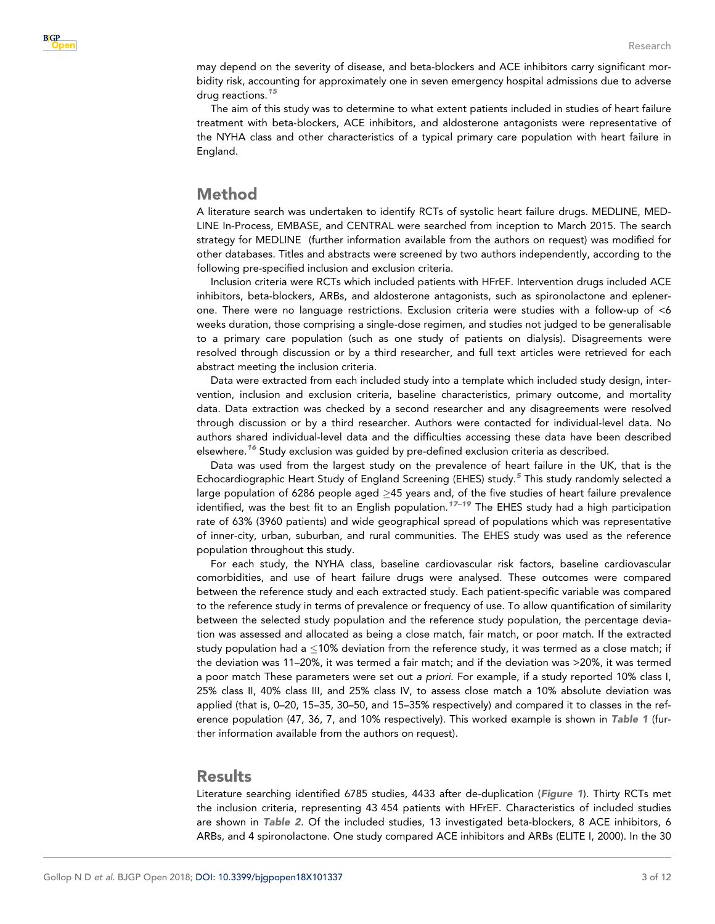

may depend on the severity of disease, and beta-blockers and ACE inhibitors carry significant morbidity risk, accounting for approximately one in seven emergency hospital admissions due to adverse drug reactions.<sup>[15](#page-9-0)</sup>

The aim of this study was to determine to what extent patients included in studies of heart failure treatment with beta-blockers, ACE inhibitors, and aldosterone antagonists were representative of the NYHA class and other characteristics of a typical primary care population with heart failure in England.

# Method

A literature search was undertaken to identify RCTs of systolic heart failure drugs. MEDLINE, MED-LINE In-Process, EMBASE, and CENTRAL were searched from inception to March 2015. The search strategy for MEDLINE (further information available from the authors on request) was modified for other databases. Titles and abstracts were screened by two authors independently, according to the following pre-specified inclusion and exclusion criteria.

Inclusion criteria were RCTs which included patients with HFrEF. Intervention drugs included ACE inhibitors, beta-blockers, ARBs, and aldosterone antagonists, such as spironolactone and eplenerone. There were no language restrictions. Exclusion criteria were studies with a follow-up of <6 weeks duration, those comprising a single-dose regimen, and studies not judged to be generalisable to a primary care population (such as one study of patients on dialysis). Disagreements were resolved through discussion or by a third researcher, and full text articles were retrieved for each abstract meeting the inclusion criteria.

Data were extracted from each included study into a template which included study design, intervention, inclusion and exclusion criteria, baseline characteristics, primary outcome, and mortality data. Data extraction was checked by a second researcher and any disagreements were resolved through discussion or by a third researcher. Authors were contacted for individual-level data. No authors shared individual-level data and the difficulties accessing these data have been described elsewhere.<sup>[16](#page-9-0)</sup> Study exclusion was quided by pre-defined exclusion criteria as described.

Data was used from the largest study on the prevalence of heart failure in the UK, that is the Echocardiographic Heart Study of England Screening (EHES) study.<sup>[5](#page-9-0)</sup> This study randomly selected a large population of 6286 people aged  $\geq$ 45 years and, of the five studies of heart failure prevalence identified, was the best fit to an English population.<sup>17-19</sup> The EHES study had a high participation rate of 63% (3960 patients) and wide geographical spread of populations which was representative of inner-city, urban, suburban, and rural communities. The EHES study was used as the reference population throughout this study.

For each study, the NYHA class, baseline cardiovascular risk factors, baseline cardiovascular comorbidities, and use of heart failure drugs were analysed. These outcomes were compared between the reference study and each extracted study. Each patient-specific variable was compared to the reference study in terms of prevalence or frequency of use. To allow quantification of similarity between the selected study population and the reference study population, the percentage deviation was assessed and allocated as being a close match, fair match, or poor match. If the extracted study population had a  $\leq$ 10% deviation from the reference study, it was termed as a close match; if the deviation was 11–20%, it was termed a fair match; and if the deviation was >20%, it was termed a poor match These parameters were set out a priori. For example, if a study reported 10% class I, 25% class II, 40% class III, and 25% class IV, to assess close match a 10% absolute deviation was applied (that is, 0–20, 15–35, 30–50, and 15–35% respectively) and compared it to classes in the ref-erence population (47, 36, 7, and 10% respectively). This worked example is shown in [Table 1](#page-3-0) (further information available from the authors on request).

# **Results**

Literature searching identified 6785 studies, 4433 after de-duplication ([Figure 1](#page-3-0)). Thirty RCTs met the inclusion criteria, representing 43 454 patients with HFrEF. Characteristics of included studies are shown in [Table 2](#page-4-0). Of the included studies, 13 investigated beta-blockers, 8 ACE inhibitors, 6 ARBs, and 4 spironolactone. One study compared ACE inhibitors and ARBs (ELITE I, 2000). In the 30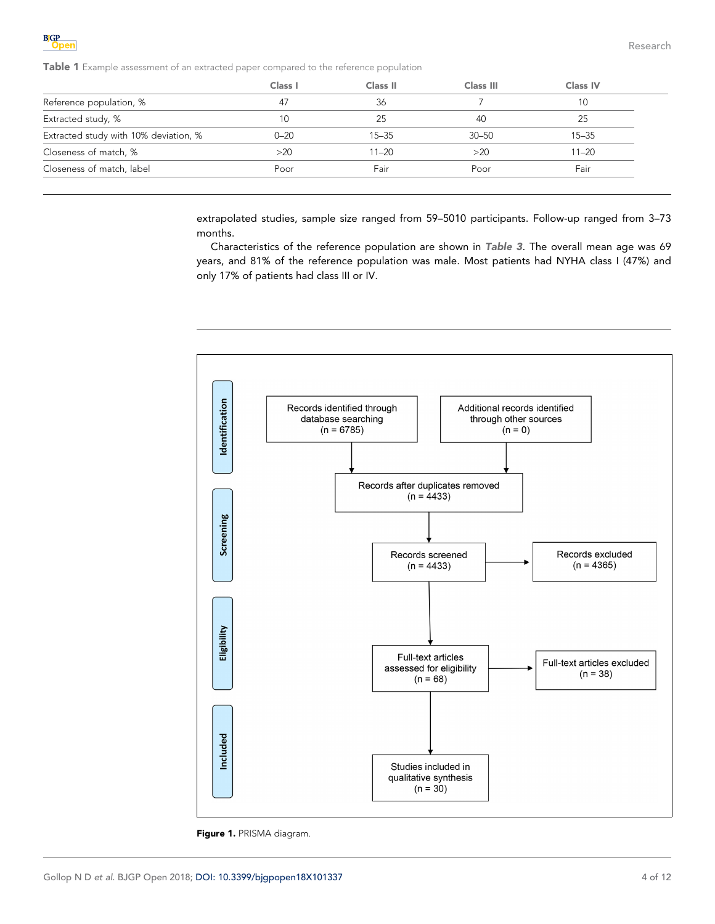<span id="page-3-0"></span>

Table 1 Example assessment of an extracted paper compared to the reference population

extrapolated studies, sample size ranged from 59–5010 participants. Follow-up ranged from 3–73 months.

Characteristics of the reference population are shown in [Table 3](#page-6-0). The overall mean age was 69 years, and 81% of the reference population was male. Most patients had NYHA class I (47%) and only 17% of patients had class III or IV.



Figure 1. PRISMA diagram.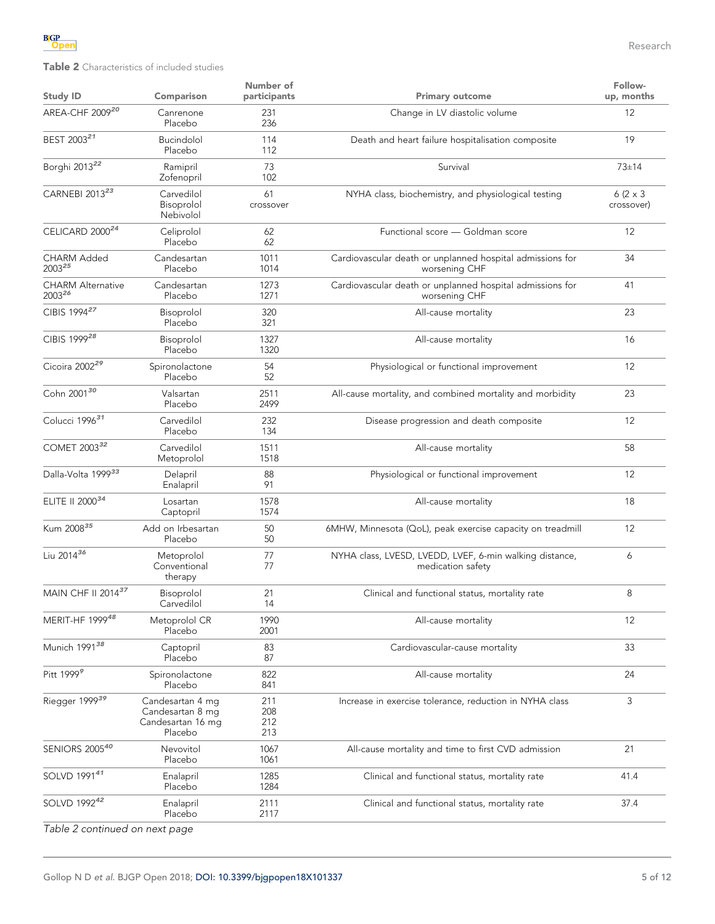<span id="page-4-0"></span>

Table 2 Characteristics of included studies

| Comparison                                                                                           | Number of<br>participants | <b>Primary outcome</b>                                                       | Follow-<br>up, months         |
|------------------------------------------------------------------------------------------------------|---------------------------|------------------------------------------------------------------------------|-------------------------------|
| Canrenone<br>Placebo                                                                                 | 231<br>236                | Change in LV diastolic volume                                                | 12                            |
| Bucindolol<br>Placebo                                                                                | 114<br>112                | Death and heart failure hospitalisation composite                            | 19                            |
| Ramipril<br>Zofenopril                                                                               | 73<br>102                 | Survival                                                                     | $73 + 14$                     |
| Carvedilol<br>Bisoprolol<br>Nebivolol                                                                | 61<br>crossover           | NYHA class, biochemistry, and physiological testing                          | $6(2 \times 3)$<br>crossover) |
| CELICARD 2000 <sup>24</sup><br>Celiprolol<br>62<br>Functional score — Goldman score<br>Placebo<br>62 |                           |                                                                              | 12                            |
| Candesartan<br>Placebo                                                                               | 1011<br>1014              | Cardiovascular death or unplanned hospital admissions for<br>worsening CHF   | 34                            |
| Candesartan<br>Placebo                                                                               | 1273<br>1271              | Cardiovascular death or unplanned hospital admissions for<br>worsening CHF   | 41                            |
| Bisoprolol<br>Placebo                                                                                | 320<br>321                | All-cause mortality                                                          | 23                            |
| Bisoprolol<br>Placebo                                                                                | 1327<br>1320              | All-cause mortality                                                          | 16                            |
| Spironolactone<br>Placebo                                                                            | 54<br>52                  | Physiological or functional improvement                                      | 12                            |
| Valsartan<br>Placebo                                                                                 | 2511<br>2499              | All-cause mortality, and combined mortality and morbidity                    | 23                            |
| Carvedilol<br>Placebo                                                                                | 232<br>134                | Disease progression and death composite                                      | 12                            |
| Carvedilol<br>Metoprolol                                                                             | 1511<br>1518              | All-cause mortality                                                          | 58                            |
| Delapril<br>Enalapril                                                                                | 88<br>91                  | Physiological or functional improvement                                      | 12                            |
| Losartan<br>Captopril                                                                                | 1578<br>1574              | All-cause mortality                                                          | 18                            |
| Add on Irbesartan<br>Placebo                                                                         | 50<br>50                  | 6MHW, Minnesota (QoL), peak exercise capacity on treadmill                   | 12                            |
| Metoprolol<br>Conventional<br>therapy                                                                | 77<br>77                  | NYHA class, LVESD, LVEDD, LVEF, 6-min walking distance,<br>medication safety | 6                             |
| Bisoprolol<br>Carvedilol                                                                             | 21<br>14                  | Clinical and functional status, mortality rate                               | 8                             |
| Metoprolol CR<br>Placebo                                                                             | 1990<br>2001              | All-cause mortality                                                          | 12                            |
| Captopril<br>Placebo                                                                                 | 83<br>87                  | Cardiovascular-cause mortality                                               | 33                            |
| Spironolactone<br>Placebo                                                                            | 822<br>841                | All-cause mortality                                                          | 24                            |
| Candesartan 4 mg<br>Candesartan 8 mg<br>Candesartan 16 mg<br>Placebo                                 | 211<br>208<br>212<br>213  | Increase in exercise tolerance, reduction in NYHA class                      | 3                             |
| Nevovitol<br>Placebo                                                                                 | 1067<br>1061              | All-cause mortality and time to first CVD admission                          | 21                            |
| Enalapril<br>Placebo                                                                                 | 1285<br>1284              | Clinical and functional status, mortality rate                               | 41.4                          |
| Enalapril<br>Placebo                                                                                 | 2111<br>2117              | Clinical and functional status, mortality rate                               | 37.4                          |
|                                                                                                      |                           |                                                                              |                               |

Table 2 continued on next page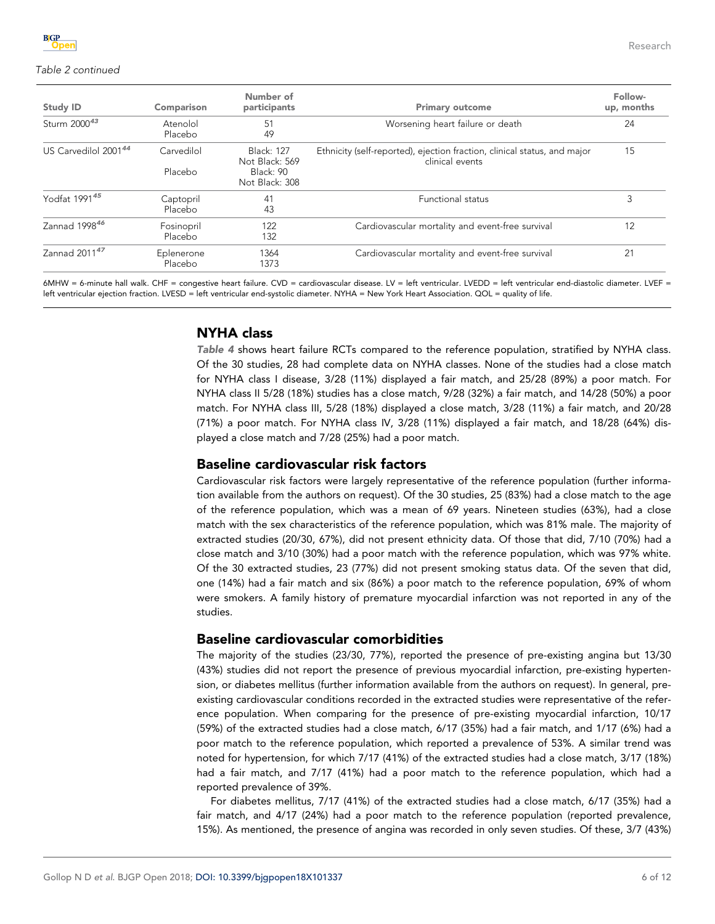### Table 2 continued

| <b>Study ID</b>           | Comparison                      | Number of<br>participants                                          | <b>Primary outcome</b>                                                                      | Follow-<br>up, months |
|---------------------------|---------------------------------|--------------------------------------------------------------------|---------------------------------------------------------------------------------------------|-----------------------|
| Sturm 2000 <sup>43</sup>  | 51<br>Atenolol<br>Placebo<br>49 |                                                                    | Worsening heart failure or death                                                            | 24                    |
| US Carvedilol 200144      | Carvedilol<br>Placebo           | <b>Black: 127</b><br>Not Black: 569<br>Black: 90<br>Not Black: 308 | Ethnicity (self-reported), ejection fraction, clinical status, and major<br>clinical events | 15                    |
| Yodfat 1991 <sup>45</sup> | Captopril<br>Placebo            | 41<br>43                                                           | <b>Functional status</b>                                                                    | 3                     |
| Zannad 1998 <sup>46</sup> | Fosinopril<br>Placebo           | 122<br>132                                                         | Cardiovascular mortality and event-free survival                                            | 12                    |
| Zannad 2011 <sup>47</sup> | Eplenerone<br>Placebo           | 1364<br>1373                                                       | Cardiovascular mortality and event-free survival                                            | 21                    |

6MHW = 6-minute hall walk. CHF = congestive heart failure. CVD = cardiovascular disease. LV = left ventricular. LVEDD = left ventricular end-diastolic diameter. LVEF = left ventricular ejection fraction. LVESD = left ventricular end-systolic diameter. NYHA = New York Heart Association. QOL = quality of life.

# NYHA class

[Table 4](#page-7-0) shows heart failure RCTs compared to the reference population, stratified by NYHA class. Of the 30 studies, 28 had complete data on NYHA classes. None of the studies had a close match for NYHA class I disease, 3/28 (11%) displayed a fair match, and 25/28 (89%) a poor match. For NYHA class II 5/28 (18%) studies has a close match, 9/28 (32%) a fair match, and 14/28 (50%) a poor match. For NYHA class III, 5/28 (18%) displayed a close match, 3/28 (11%) a fair match, and 20/28 (71%) a poor match. For NYHA class IV, 3/28 (11%) displayed a fair match, and 18/28 (64%) displayed a close match and 7/28 (25%) had a poor match.

### Baseline cardiovascular risk factors

Cardiovascular risk factors were largely representative of the reference population (further information available from the authors on request). Of the 30 studies, 25 (83%) had a close match to the age of the reference population, which was a mean of 69 years. Nineteen studies (63%), had a close match with the sex characteristics of the reference population, which was 81% male. The majority of extracted studies (20/30, 67%), did not present ethnicity data. Of those that did, 7/10 (70%) had a close match and 3/10 (30%) had a poor match with the reference population, which was 97% white. Of the 30 extracted studies, 23 (77%) did not present smoking status data. Of the seven that did, one (14%) had a fair match and six (86%) a poor match to the reference population, 69% of whom were smokers. A family history of premature myocardial infarction was not reported in any of the studies.

### Baseline cardiovascular comorbidities

The majority of the studies (23/30, 77%), reported the presence of pre-existing angina but 13/30 (43%) studies did not report the presence of previous myocardial infarction, pre-existing hypertension, or diabetes mellitus (further information available from the authors on request). In general, preexisting cardiovascular conditions recorded in the extracted studies were representative of the reference population. When comparing for the presence of pre-existing myocardial infarction, 10/17 (59%) of the extracted studies had a close match, 6/17 (35%) had a fair match, and 1/17 (6%) had a poor match to the reference population, which reported a prevalence of 53%. A similar trend was noted for hypertension, for which 7/17 (41%) of the extracted studies had a close match, 3/17 (18%) had a fair match, and 7/17 (41%) had a poor match to the reference population, which had a reported prevalence of 39%.

For diabetes mellitus, 7/17 (41%) of the extracted studies had a close match, 6/17 (35%) had a fair match, and 4/17 (24%) had a poor match to the reference population (reported prevalence, 15%). As mentioned, the presence of angina was recorded in only seven studies. Of these, 3/7 (43%)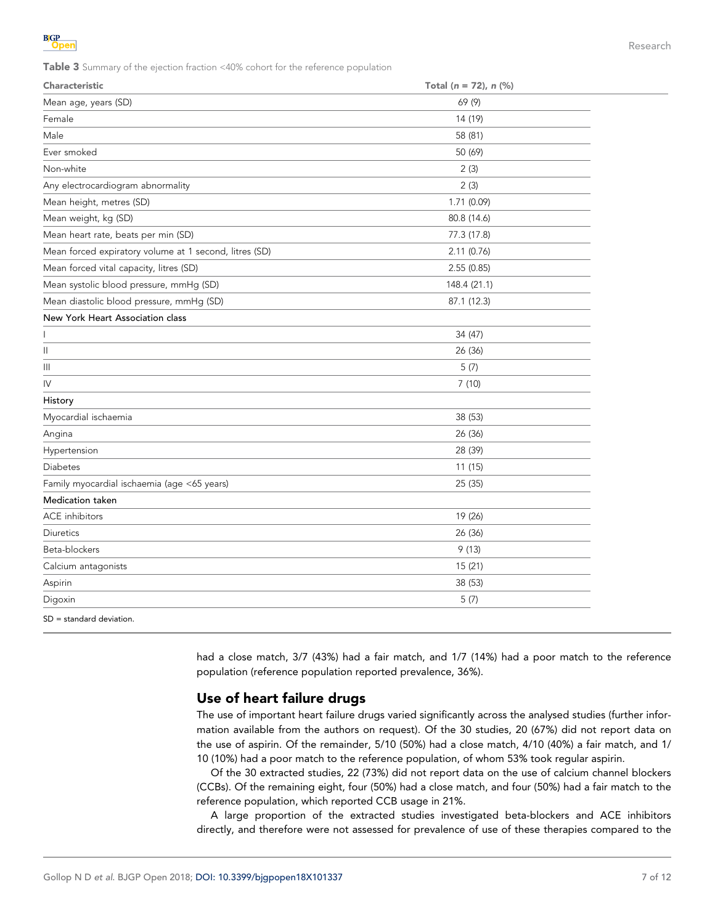<span id="page-6-0"></span>**Table 3** Summary of the ejection fraction <40% cohort for the reference population

| <b>Characteristic</b>                                  | Total ( $n = 72$ ), $n$ (%) |
|--------------------------------------------------------|-----------------------------|
| Mean age, years (SD)                                   | 69 (9)                      |
| Female                                                 | 14 (19)                     |
| Male                                                   | 58 (81)                     |
| Ever smoked                                            | 50 (69)                     |
| Non-white                                              | 2(3)                        |
| Any electrocardiogram abnormality                      | 2(3)                        |
| Mean height, metres (SD)                               | 1.71 (0.09)                 |
| Mean weight, kg (SD)                                   | 80.8 (14.6)                 |
| Mean heart rate, beats per min (SD)                    | 77.3 (17.8)                 |
| Mean forced expiratory volume at 1 second, litres (SD) | 2.11 (0.76)                 |
| Mean forced vital capacity, litres (SD)                | 2.55 (0.85)                 |
| Mean systolic blood pressure, mmHg (SD)                | 148.4 (21.1)                |
| Mean diastolic blood pressure, mmHg (SD)               | 87.1 (12.3)                 |
| New York Heart Association class                       |                             |
| <b>I</b>                                               | 34 (47)                     |
| $\mathbf{  }$                                          | 26 (36)                     |
| Ш                                                      | 5(7)                        |
| IV                                                     | 7(10)                       |
| History                                                |                             |
| Myocardial ischaemia                                   | 38 (53)                     |
| Angina                                                 | 26 (36)                     |
| Hypertension                                           | 28 (39)                     |
| Diabetes                                               | 11 (15)                     |
| Family myocardial ischaemia (age <65 years)            | 25(35)                      |
| Medication taken                                       |                             |
| ACE inhibitors                                         | 19 (26)                     |
| Diuretics                                              | 26 (36)                     |
| Beta-blockers                                          | 9(13)                       |
| Calcium antagonists                                    | 15 (21)                     |
| Aspirin                                                | 38 (53)                     |
| Digoxin                                                | 5(7)                        |
| $SD = standard deviation$ .                            |                             |

had a close match, 3/7 (43%) had a fair match, and 1/7 (14%) had a poor match to the reference population (reference population reported prevalence, 36%).

# Use of heart failure drugs

The use of important heart failure drugs varied significantly across the analysed studies (further information available from the authors on request). Of the 30 studies, 20 (67%) did not report data on the use of aspirin. Of the remainder, 5/10 (50%) had a close match, 4/10 (40%) a fair match, and 1/ 10 (10%) had a poor match to the reference population, of whom 53% took regular aspirin.

Of the 30 extracted studies, 22 (73%) did not report data on the use of calcium channel blockers (CCBs). Of the remaining eight, four (50%) had a close match, and four (50%) had a fair match to the reference population, which reported CCB usage in 21%.

A large proportion of the extracted studies investigated beta-blockers and ACE inhibitors directly, and therefore were not assessed for prevalence of use of these therapies compared to the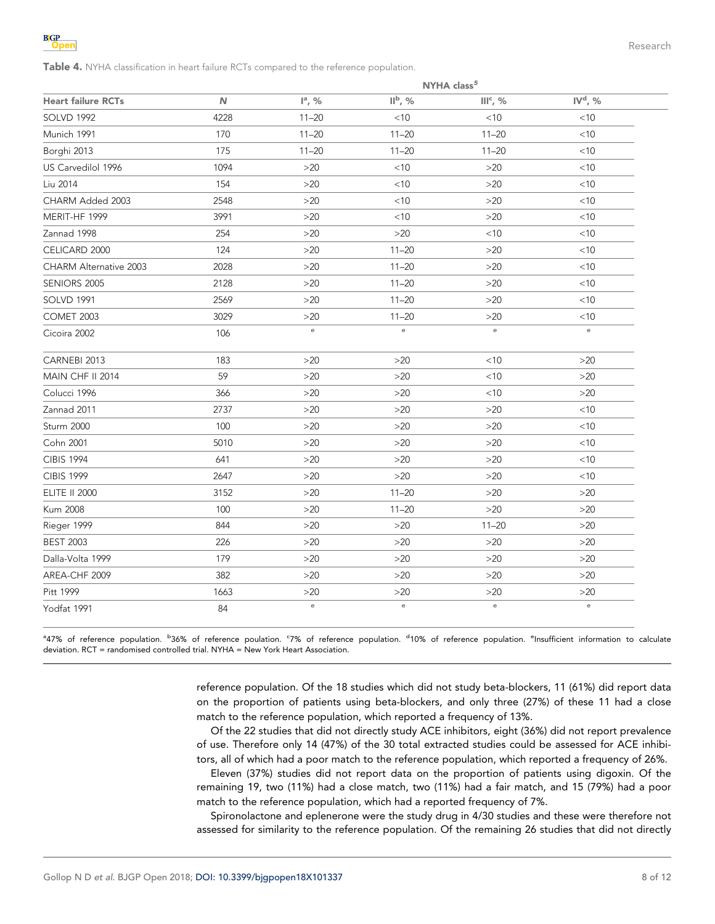<span id="page-7-0"></span>

Table 4. NYHA classification in heart failure RCTs compared to the reference population.

|                               | NYHA class <sup>5</sup> |                                            |                                            |                                   |                                            |  |  |
|-------------------------------|-------------------------|--------------------------------------------|--------------------------------------------|-----------------------------------|--------------------------------------------|--|--|
| <b>Heart failure RCTs</b>     | $\mathbb N$             | $\parallel^a, \frac{\alpha}{b}$            | $II^b$ , %                                 | $IIIc$ , %                        | $IVd$ , %                                  |  |  |
| SOLVD 1992                    | 4228                    | $11 - 20$                                  | $<$ 10                                     | $<$ 10                            | $<$ 10                                     |  |  |
| Munich 1991                   | 170                     | $11 - 20$                                  | $11 - 20$                                  | $11 - 20$                         | $<$ 10                                     |  |  |
| Borghi 2013                   | 175                     | $11 - 20$                                  | $11 - 20$                                  | $11 - 20$                         | < 10                                       |  |  |
| US Carvedilol 1996            | 1094                    | $>20$                                      | < 10                                       | $>20$                             | < 10                                       |  |  |
| Liu 2014                      | 154                     | $>20$                                      | < 10                                       | $>20$                             | < 10                                       |  |  |
| CHARM Added 2003              | 2548                    | $>20$                                      | < 10                                       | $>20$                             | < 10                                       |  |  |
| MERIT-HF 1999                 | 3991                    | $>20$                                      | < 10                                       | >20                               | $<$ 10                                     |  |  |
| Zannad 1998                   | 254                     | $>20$                                      | $>20$                                      | $<$ 10                            | < 10                                       |  |  |
| CELICARD 2000                 | 124                     | $>20$                                      | $11 - 20$                                  | $>20$                             | < 10                                       |  |  |
| <b>CHARM Alternative 2003</b> | 2028                    | >20                                        | $11 - 20$                                  | >20                               | < 10                                       |  |  |
| SENIORS 2005                  | 2128                    | >20                                        | $11 - 20$                                  | >20                               | < 10                                       |  |  |
| <b>SOLVD 1991</b>             | 2569                    | $>20$                                      | $11 - 20$                                  | >20                               | < 10                                       |  |  |
| COMET 2003                    | 3029                    | >20                                        | $11 - 20$                                  | >20                               | < 10                                       |  |  |
| Cicoira 2002                  | 106                     | $\mathsf{e}% _{0}\left( \mathsf{e}\right)$ | $\epsilon$                                 | $\mathsf{e}% _{t}\left( t\right)$ | $\mathsf{e}% _{t}\left( t\right)$          |  |  |
| CARNEBI 2013                  | 183                     | $>20$                                      | $>20$                                      | < 10                              | $>20$                                      |  |  |
| MAIN CHF II 2014              | 59                      | $>20$                                      | $>20$                                      | $<$ 10                            | $>20$                                      |  |  |
| Colucci 1996                  | 366                     | $>20$                                      | $>20$                                      | $<$ 10                            | $>20$                                      |  |  |
| Zannad 2011                   | 2737                    | $>20$                                      | $>20$                                      | >20                               | < 10                                       |  |  |
| Sturm 2000                    | 100                     | $>20$                                      | $>20$                                      | >20                               | < 10                                       |  |  |
| Cohn 2001                     | 5010                    | $>20$                                      | $>20$                                      | $>20$                             | < 10                                       |  |  |
| <b>CIBIS 1994</b>             | 641                     | $>20$                                      | $>20$                                      | >20                               | < 10                                       |  |  |
| <b>CIBIS 1999</b>             | 2647                    | $>20$                                      | $>20$                                      | >20                               | $<$ 10                                     |  |  |
| <b>ELITE II 2000</b>          | 3152                    | $>20$                                      | $11 - 20$                                  | >20                               | $>20$                                      |  |  |
| <b>Kum 2008</b>               | 100                     | $>20$                                      | $11 - 20$                                  | $>20$                             | $>20$                                      |  |  |
| Rieger 1999                   | 844                     | $>20$                                      | $>20$                                      | $11 - 20$                         | $>20$                                      |  |  |
| <b>BEST 2003</b>              | 226                     | $>20$                                      | $>20$                                      | >20                               | >20                                        |  |  |
| Dalla-Volta 1999              | 179                     | $>20$                                      | $>20$                                      | >20                               | $>20$                                      |  |  |
| AREA-CHF 2009                 | 382                     | >20                                        | $>20$                                      | >20                               | $>20$                                      |  |  |
| Pitt 1999                     | 1663                    | $>20$                                      | $>20$                                      | $>20$                             | $>20$                                      |  |  |
| Yodfat 1991                   | 84                      | $\rm _e$                                   | $\mathsf{e}% _{0}\left( \mathsf{e}\right)$ | $\mathsf{e}% _{t}\left( t\right)$ | $\mathsf{e}% _{0}\left( \mathsf{e}\right)$ |  |  |

<sup>a</sup>47% of reference population. <sup>b</sup>36% of reference poulation. <sup>c</sup>7% of reference population. <sup>d</sup>10% of reference population. <sup>e</sup>lnsufficient information to calculate deviation. RCT = randomised controlled trial. NYHA = New York Heart Association.

> reference population. Of the 18 studies which did not study beta-blockers, 11 (61%) did report data on the proportion of patients using beta-blockers, and only three (27%) of these 11 had a close match to the reference population, which reported a frequency of 13%.

> Of the 22 studies that did not directly study ACE inhibitors, eight (36%) did not report prevalence of use. Therefore only 14 (47%) of the 30 total extracted studies could be assessed for ACE inhibitors, all of which had a poor match to the reference population, which reported a frequency of 26%.

> Eleven (37%) studies did not report data on the proportion of patients using digoxin. Of the remaining 19, two (11%) had a close match, two (11%) had a fair match, and 15 (79%) had a poor match to the reference population, which had a reported frequency of 7%.

> Spironolactone and eplenerone were the study drug in 4/30 studies and these were therefore not assessed for similarity to the reference population. Of the remaining 26 studies that did not directly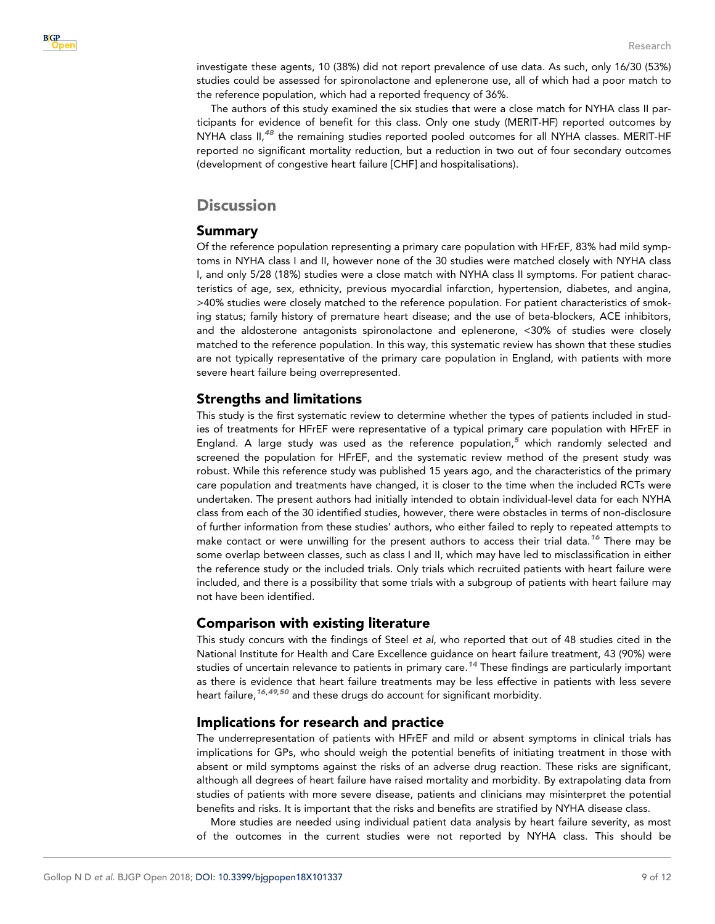

investigate these agents, 10 (38%) did not report prevalence of use data. As such, only 16/30 (53%) studies could be assessed for spironolactone and eplenerone use, all of which had a poor match to the reference population, which had a reported frequency of 36%.

The authors of this study examined the six studies that were a close match for NYHA class II participants for evidence of benefit for this class. Only one study (MERIT-HF) reported outcomes by NYHA class  $II_1^{48}$  $II_1^{48}$  $II_1^{48}$  the remaining studies reported pooled outcomes for all NYHA classes. MERIT-HF reported no significant mortality reduction, but a reduction in two out of four secondary outcomes (development of congestive heart failure [CHF] and hospitalisations).

# **Discussion**

# Summary

Of the reference population representing a primary care population with HFrEF, 83% had mild symptoms in NYHA class I and II, however none of the 30 studies were matched closely with NYHA class I, and only 5/28 (18%) studies were a close match with NYHA class II symptoms. For patient characteristics of age, sex, ethnicity, previous myocardial infarction, hypertension, diabetes, and angina, >40% studies were closely matched to the reference population. For patient characteristics of smoking status; family history of premature heart disease; and the use of beta-blockers, ACE inhibitors, and the aldosterone antagonists spironolactone and eplenerone, <30% of studies were closely matched to the reference population. In this way, this systematic review has shown that these studies are not typically representative of the primary care population in England, with patients with more severe heart failure being overrepresented.

# Strengths and limitations

This study is the first systematic review to determine whether the types of patients included in studies of treatments for HFrEF were representative of a typical primary care population with HFrEF in England. A large study was used as the reference population, $<sup>5</sup>$  $<sup>5</sup>$  $<sup>5</sup>$  which randomly selected and</sup> screened the population for HFrEF, and the systematic review method of the present study was robust. While this reference study was published 15 years ago, and the characteristics of the primary care population and treatments have changed, it is closer to the time when the included RCTs were undertaken. The present authors had initially intended to obtain individual-level data for each NYHA class from each of the 30 identified studies, however, there were obstacles in terms of non-disclosure of further information from these studies' authors, who either failed to reply to repeated attempts to make contact or were unwilling for the present authors to access their trial data.<sup>[16](#page-9-0)</sup> There may be some overlap between classes, such as class I and II, which may have led to misclassification in either the reference study or the included trials. Only trials which recruited patients with heart failure were included, and there is a possibility that some trials with a subgroup of patients with heart failure may not have been identified.

### Comparison with existing literature

This study concurs with the findings of Steel et al, who reported that out of 48 studies cited in the National Institute for Health and Care Excellence guidance on heart failure treatment, 43 (90%) were studies of uncertain relevance to patients in primary care.<sup>[14](#page-9-0)</sup> These findings are particularly important as there is evidence that heart failure treatments may be less effective in patients with less severe heart failure, <sup>[16](#page-9-0),[49](#page-11-0),[50](#page-11-0)</sup> and these drugs do account for significant morbidity.

## Implications for research and practice

The underrepresentation of patients with HFrEF and mild or absent symptoms in clinical trials has implications for GPs, who should weigh the potential benefits of initiating treatment in those with absent or mild symptoms against the risks of an adverse drug reaction. These risks are significant, although all degrees of heart failure have raised mortality and morbidity. By extrapolating data from studies of patients with more severe disease, patients and clinicians may misinterpret the potential benefits and risks. It is important that the risks and benefits are stratified by NYHA disease class.

More studies are needed using individual patient data analysis by heart failure severity, as most of the outcomes in the current studies were not reported by NYHA class. This should be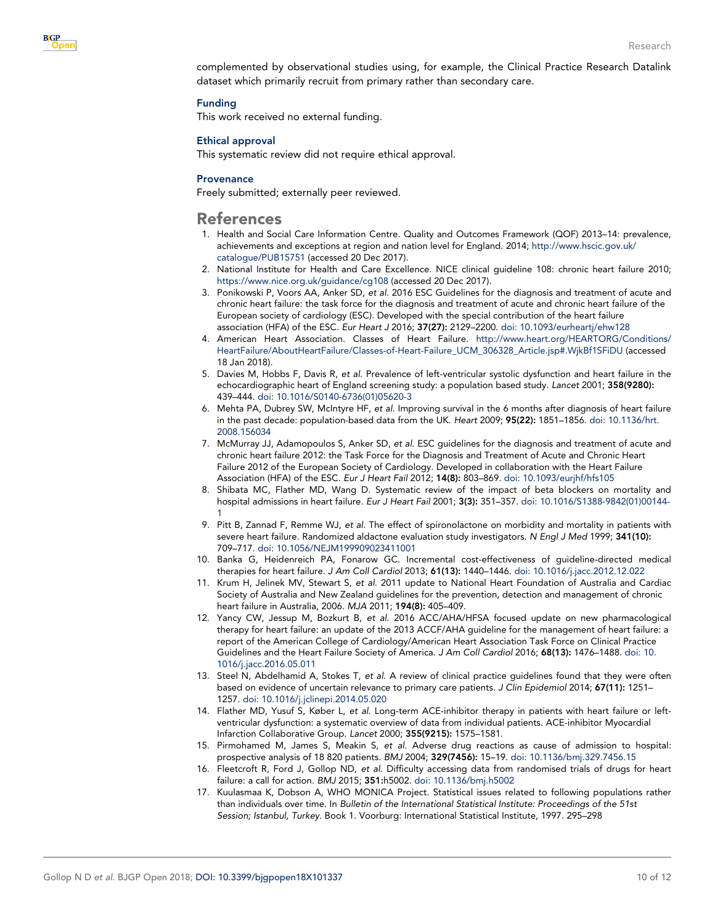<span id="page-9-0"></span>

complemented by observational studies using, for example, the Clinical Practice Research Datalink dataset which primarily recruit from primary rather than secondary care.

### Funding

This work received no external funding.

#### Ethical approval

This systematic review did not require ethical approval.

#### **Provenance**

Freely submitted; externally peer reviewed.

# References

- 1. Health and Social Care Information Centre. Quality and Outcomes Framework (QOF) 2013–14: prevalence, achievements and exceptions at region and nation level for England. 2014; [http://www.hscic.gov.uk/](http://www.hscic.gov.uk/catalogue/PUB15751) [catalogue/PUB15751](http://www.hscic.gov.uk/catalogue/PUB15751) (accessed 20 Dec 2017).
- 2. National Institute for Health and Care Excellence. NICE clinical guideline 108: chronic heart failure 2010; <https://www.nice.org.uk/guidance/cg108> (accessed 20 Dec 2017).
- 3. Ponikowski P, Voors AA, Anker SD, et al. 2016 ESC Guidelines for the diagnosis and treatment of acute and chronic heart failure: the task force for the diagnosis and treatment of acute and chronic heart failure of the European society of cardiology (ESC). Developed with the special contribution of the heart failure association (HFA) of the ESC. Eur Heart J 2016; 37(27): 2129–2200. [doi: 10.1093/eurheartj/ehw128](http://dx.doi.org/10.1093/eurheartj/ehw128)
- 4. American Heart Association. Classes of Heart Failure. [http://www.heart.org/HEARTORG/Conditions/](http://www.heart.org/HEARTORG/Conditions/HeartFailure/AboutHeartFailure/Classes-of-Heart-Failure_UCM_306328_Article.jsp#.WjkBf1SFiDU) [HeartFailure/AboutHeartFailure/Classes-of-Heart-Failure\\_UCM\\_306328\\_Article.jsp#.WjkBf1SFiDU](http://www.heart.org/HEARTORG/Conditions/HeartFailure/AboutHeartFailure/Classes-of-Heart-Failure_UCM_306328_Article.jsp#.WjkBf1SFiDU) (accessed 18 Jan 2018).
- 5. Davies M, Hobbs F, Davis R, et al. Prevalence of left-ventricular systolic dysfunction and heart failure in the echocardiographic heart of England screening study: a population based study. Lancet 2001; 358(9280): 439–444. [doi: 10.1016/S0140-6736\(01\)05620-3](http://dx.doi.org/10.1016/S0140-6736(01)05620-3)
- 6. Mehta PA, Dubrey SW, McIntyre HF, et al. Improving survival in the 6 months after diagnosis of heart failure in the past decade: population-based data from the UK. Heart 2009; 95(22): 1851–1856. [doi: 10.1136/hrt.](http://dx.doi.org/10.1136/hrt.2008.156034) [2008.156034](http://dx.doi.org/10.1136/hrt.2008.156034)
- 7. McMurray JJ, Adamopoulos S, Anker SD, et al. ESC guidelines for the diagnosis and treatment of acute and chronic heart failure 2012: the Task Force for the Diagnosis and Treatment of Acute and Chronic Heart Failure 2012 of the European Society of Cardiology. Developed in collaboration with the Heart Failure Association (HFA) of the ESC. Eur J Heart Fail 2012; 14(8): 803–869. [doi: 10.1093/eurjhf/hfs105](http://dx.doi.org/10.1093/eurjhf/hfs105)
- 8. Shibata MC, Flather MD, Wang D. Systematic review of the impact of beta blockers on mortality and hospital admissions in heart failure. Eur J Heart Fail 2001; 3(3): 351–357. [doi: 10.1016/S1388-9842\(01\)00144-](http://dx.doi.org/10.1016/S1388-9842(01)00144-1) [1](http://dx.doi.org/10.1016/S1388-9842(01)00144-1)
- 9. Pitt B, Zannad F, Remme WJ, et al. The effect of spironolactone on morbidity and mortality in patients with severe heart failure. Randomized aldactone evaluation study investigators. N Engl J Med 1999; 341(10): 709–717. [doi: 10.1056/NEJM199909023411001](http://dx.doi.org/10.1056/NEJM199909023411001)
- 10. Banka G, Heidenreich PA, Fonarow GC. Incremental cost-effectiveness of guideline-directed medical therapies for heart failure. J Am Coll Cardiol 2013; 61(13): 1440–1446. [doi: 10.1016/j.jacc.2012.12.022](http://dx.doi.org/10.1016/j.jacc.2012.12.022)
- 11. Krum H, Jelinek MV, Stewart S, et al. 2011 update to National Heart Foundation of Australia and Cardiac Society of Australia and New Zealand guidelines for the prevention, detection and management of chronic heart failure in Australia, 2006. MJA 2011; 194(8): 405–409.
- 12. Yancy CW, Jessup M, Bozkurt B, et al. 2016 ACC/AHA/HFSA focused update on new pharmacological therapy for heart failure: an update of the 2013 ACCF/AHA guideline for the management of heart failure: a report of the American College of Cardiology/American Heart Association Task Force on Clinical Practice Guidelines and the Heart Failure Society of America. J Am Coll Cardiol 2016; 68(13): 1476–1488. [doi: 10.](http://dx.doi.org/10.1016/j.jacc.2016.05.011) [1016/j.jacc.2016.05.011](http://dx.doi.org/10.1016/j.jacc.2016.05.011)
- 13. Steel N, Abdelhamid A, Stokes T, et al. A review of clinical practice guidelines found that they were often based on evidence of uncertain relevance to primary care patients. J Clin Epidemiol 2014; 67(11): 1251-1257. [doi: 10.1016/j.jclinepi.2014.05.020](http://dx.doi.org/10.1016/j.jclinepi.2014.05.020)
- 14. Flather MD, Yusuf S, Køber L, et al. Long-term ACE-inhibitor therapy in patients with heart failure or leftventricular dysfunction: a systematic overview of data from individual patients. ACE-inhibitor Myocardial Infarction Collaborative Group. Lancet 2000; 355(9215): 1575–1581.
- 15. Pirmohamed M, James S, Meakin S, et al. Adverse drug reactions as cause of admission to hospital: prospective analysis of 18 820 patients. BMJ 2004; 329(7456): 15–19. [doi: 10.1136/bmj.329.7456.15](http://dx.doi.org/10.1136/bmj.329.7456.15)
- 16. Fleetcroft R, Ford J, Gollop ND, et al. Difficulty accessing data from randomised trials of drugs for heart failure: a call for action. BMJ 2015; 351:h5002. [doi: 10.1136/bmj.h5002](http://dx.doi.org/10.1136/bmj.h5002)
- 17. Kuulasmaa K, Dobson A, WHO MONICA Project. Statistical issues related to following populations rather than individuals over time. In Bulletin of the International Statistical Institute: Proceedings of the 51st Session; Istanbul, Turkey. Book 1. Voorburg: International Statistical Institute, 1997. 295–298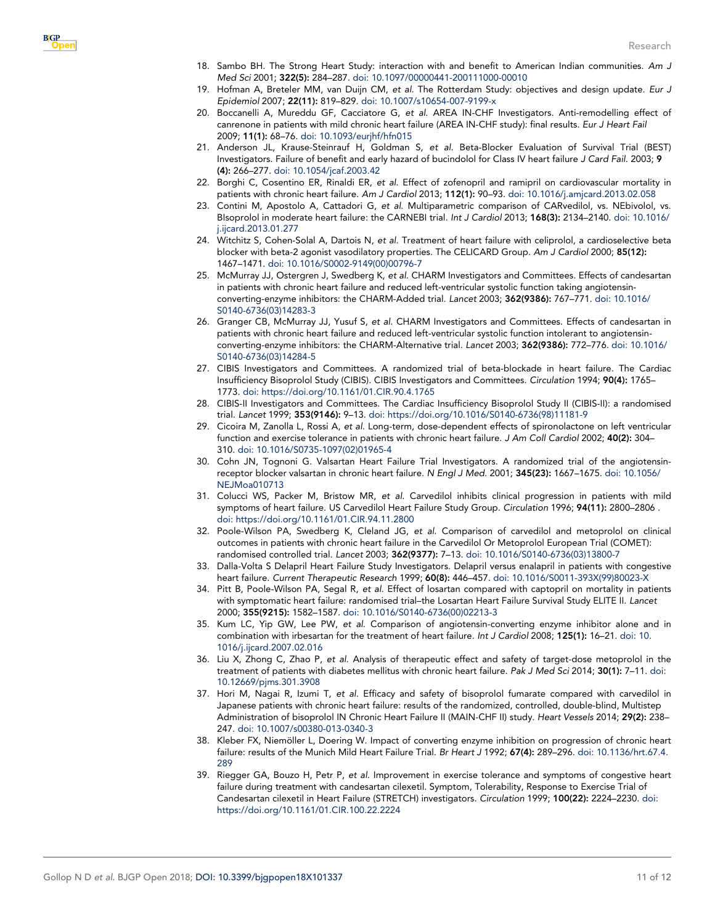- <span id="page-10-0"></span>18. Sambo BH. The Strong Heart Study: interaction with and benefit to American Indian communities. Am J Med Sci 2001; 322(5): 284–287. [doi: 10.1097/00000441-200111000-00010](http://dx.doi.org/10.1097/00000441-200111000-00010)
- 19. Hofman A, Breteler MM, van Duijn CM, et al. The Rotterdam Study: objectives and design update. Eur J Epidemiol 2007; 22(11): 819–829. [doi: 10.1007/s10654-007-9199-x](http://dx.doi.org/10.1007/s10654-007-9199-x)
- 20. Boccanelli A, Mureddu GF, Cacciatore G, et al. AREA IN-CHF Investigators. Anti-remodelling effect of canrenone in patients with mild chronic heart failure (AREA IN-CHF study): final results. Eur J Heart Fail 2009; 11(1): 68–76. [doi: 10.1093/eurjhf/hfn015](http://dx.doi.org/10.1093/eurjhf/hfn015)
- 21. Anderson JL, Krause-Steinrauf H, Goldman S, et al. Beta-Blocker Evaluation of Survival Trial (BEST) Investigators. Failure of benefit and early hazard of bucindolol for Class IV heart failure J Card Fail. 2003; 9 (4): 266–277. [doi: 10.1054/jcaf.2003.42](http://dx.doi.org/10.1054/jcaf.2003.42)
- 22. Borghi C, Cosentino ER, Rinaldi ER, et al. Effect of zofenopril and ramipril on cardiovascular mortality in patients with chronic heart failure. Am J Cardiol 2013; 112(1): 90–93. [doi: 10.1016/j.amjcard.2013.02.058](http://dx.doi.org/10.1016/j.amjcard.2013.02.058)
- 23. Contini M, Apostolo A, Cattadori G, et al. Multiparametric comparison of CARvedilol, vs. NEbivolol, vs. BIsoprolol in moderate heart failure: the CARNEBI trial. Int J Cardiol 2013; 168(3): 2134–2140. [doi: 10.1016/](http://dx.doi.org/10.1016/j.ijcard.2013.01.277) [j.ijcard.2013.01.277](http://dx.doi.org/10.1016/j.ijcard.2013.01.277)
- 24. Witchitz S, Cohen-Solal A, Dartois N, et al. Treatment of heart failure with celiprolol, a cardioselective beta blocker with beta-2 agonist vasodilatory properties. The CELICARD Group. Am J Cardiol 2000; 85(12): 1467–1471. [doi: 10.1016/S0002-9149\(00\)00796-7](http://dx.doi.org/10.1016/S0002-9149(00)00796-7)
- 25. McMurray JJ, Ostergren J, Swedberg K, et al. CHARM Investigators and Committees. Effects of candesartan in patients with chronic heart failure and reduced left-ventricular systolic function taking angiotensinconverting-enzyme inhibitors: the CHARM-Added trial. Lancet 2003; 362(9386): 767–771. [doi: 10.1016/](http://dx.doi.org/10.1016/S0140-6736(03)14283-3) [S0140-6736\(03\)14283-3](http://dx.doi.org/10.1016/S0140-6736(03)14283-3)
- 26. Granger CB, McMurray JJ, Yusuf S, et al. CHARM Investigators and Committees. Effects of candesartan in patients with chronic heart failure and reduced left-ventricular systolic function intolerant to angiotensinconverting-enzyme inhibitors: the CHARM-Alternative trial. Lancet 2003; 362(9386): 772–776. [doi: 10.1016/](http://dx.doi.org/10.1016/S0140-6736(03)14284-5) [S0140-6736\(03\)14284-5](http://dx.doi.org/10.1016/S0140-6736(03)14284-5)
- 27. CIBIS Investigators and Committees. A randomized trial of beta-blockade in heart failure. The Cardiac Insufficiency Bisoprolol Study (CIBIS). CIBIS Investigators and Committees. Circulation 1994; 90(4): 1765– 1773. [doi: https://doi.org/10.1161/01.CIR.90.4.1765](http://dx.doi.org/https://doi.org/10.1161/01.CIR.90.4.1765)
- 28. CIBIS-II Investigators and Committees. The Cardiac Insufficiency Bisoprolol Study II (CIBIS-II): a randomised trial. Lancet 1999; 353(9146): 9–13. [doi: https://doi.org/10.1016/S0140-6736\(98\)11181-9](http://dx.doi.org/https://doi.org/10.1016/S0140-6736(98)11181-9)
- 29. Cicoira M, Zanolla L, Rossi A, et al. Long-term, dose-dependent effects of spironolactone on left ventricular function and exercise tolerance in patients with chronic heart failure. J Am Coll Cardiol 2002; 40(2): 304– 310. [doi: 10.1016/S0735-1097\(02\)01965-4](http://dx.doi.org/10.1016/S0735-1097(02)01965-4)
- 30. Cohn JN, Tognoni G. Valsartan Heart Failure Trial Investigators. A randomized trial of the angiotensinreceptor blocker valsartan in chronic heart failure. N Engl J Med. 2001; 345(23): 1667–1675. [doi: 10.1056/](http://dx.doi.org/10.1056/NEJMoa010713) [NEJMoa010713](http://dx.doi.org/10.1056/NEJMoa010713)
- 31. Colucci WS, Packer M, Bristow MR, et al. Carvedilol inhibits clinical progression in patients with mild symptoms of heart failure. US Carvedilol Heart Failure Study Group. Circulation 1996; 94(11): 2800–2806 . [doi: https://doi.org/10.1161/01.CIR.94.11.2800](http://dx.doi.org/https://doi.org/10.1161/01.CIR.94.11.2800)
- 32. Poole-Wilson PA, Swedberg K, Cleland JG, et al. Comparison of carvedilol and metoprolol on clinical outcomes in patients with chronic heart failure in the Carvedilol Or Metoprolol European Trial (COMET): randomised controlled trial. Lancet 2003; 362(9377): 7–13. [doi: 10.1016/S0140-6736\(03\)13800-7](http://dx.doi.org/10.1016/S0140-6736(03)13800-7)
- 33. Dalla-Volta S Delapril Heart Failure Study Investigators. Delapril versus enalapril in patients with congestive heart failure. Current Therapeutic Research 1999; 60(8): 446–457. [doi: 10.1016/S0011-393X\(99\)80023-X](http://dx.doi.org/10.1016/S0011-393X(99)80023-X)
- 34. Pitt B, Poole-Wilson PA, Segal R, et al. Effect of losartan compared with captopril on mortality in patients with symptomatic heart failure: randomised trial–the Losartan Heart Failure Survival Study ELITE II. Lancet 2000; 355(9215): 1582–1587. [doi: 10.1016/S0140-6736\(00\)02213-3](http://dx.doi.org/10.1016/S0140-6736(00)02213-3)
- 35. Kum LC, Yip GW, Lee PW, et al. Comparison of angiotensin-converting enzyme inhibitor alone and in combination with irbesartan for the treatment of heart failure. Int J Cardiol 2008; 125(1): 16–21. [doi: 10.](http://dx.doi.org/10.1016/j.ijcard.2007.02.016) [1016/j.ijcard.2007.02.016](http://dx.doi.org/10.1016/j.ijcard.2007.02.016)
- 36. Liu X, Zhong C, Zhao P, et al. Analysis of therapeutic effect and safety of target-dose metoprolol in the treatment of patients with diabetes mellitus with chronic heart failure. Pak J Med Sci 2014; 30(1): 7–11. [doi:](http://dx.doi.org/10.12669/pjms.301.3908) [10.12669/pjms.301.3908](http://dx.doi.org/10.12669/pjms.301.3908)
- 37. Hori M, Nagai R, Izumi T, et al. Efficacy and safety of bisoprolol fumarate compared with carvedilol in Japanese patients with chronic heart failure: results of the randomized, controlled, double-blind, Multistep Administration of bisoprolol IN Chronic Heart Failure II (MAIN-CHF II) study. Heart Vessels 2014; 29(2): 238-247. [doi: 10.1007/s00380-013-0340-3](http://dx.doi.org/10.1007/s00380-013-0340-3)
- 38. Kleber FX, Niemöller L, Doering W. Impact of converting enzyme inhibition on progression of chronic heart failure: results of the Munich Mild Heart Failure Trial. Br Heart J 1992; 67(4): 289–296. [doi: 10.1136/hrt.67.4.](http://dx.doi.org/10.1136/hrt.67.4.289) [289](http://dx.doi.org/10.1136/hrt.67.4.289)
- 39. Riegger GA, Bouzo H, Petr P, et al. Improvement in exercise tolerance and symptoms of congestive heart failure during treatment with candesartan cilexetil. Symptom, Tolerability, Response to Exercise Trial of Candesartan cilexetil in Heart Failure (STRETCH) investigators. Circulation 1999; 100(22): 2224–2230. [doi:](http://dx.doi.org/https://doi.org/10.1161/01.CIR.100.22.2224) [https://doi.org/10.1161/01.CIR.100.22.2224](http://dx.doi.org/https://doi.org/10.1161/01.CIR.100.22.2224)